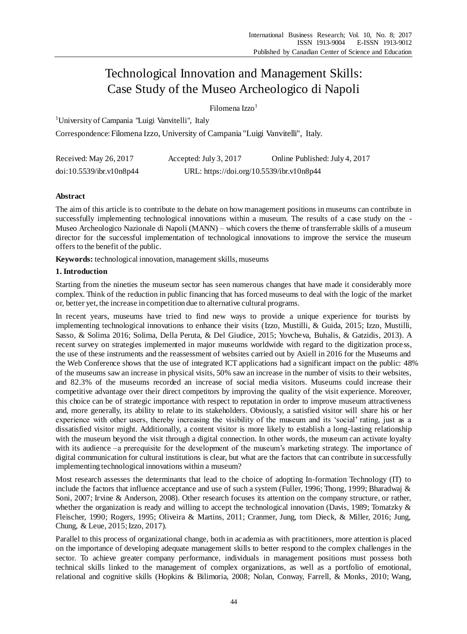# Technological Innovation and Management Skills: Case Study of the Museo Archeologico di Napoli

Filomena Izzo $<sup>1</sup>$ </sup>

<sup>1</sup>University of Campania "Luigi Vanvitelli", Italy Correspondence:Filomena Izzo, University of Campania "Luigi Vanvitelli", Italy.

| Received: May $26, 2017$ | Accepted: July 3, $2017$                  | Online Published: July 4, 2017 |
|--------------------------|-------------------------------------------|--------------------------------|
| doi:10.5539/ibr.v10n8p44 | URL: https://doi.org/10.5539/ibr.v10n8p44 |                                |

# **Abstract**

The aim of this article is to contribute to the debate on how management positions in museums can contribute in successfully implementing technological innovations within a museum. The results of a case study on the -Museo Archeologico Nazionale di Napoli (MANN) – which covers the theme of transferrable skills of a museum director for the successful implementation of technological innovations to improve the service the museum offers to the benefit of the public.

**Keywords:** technological innovation, management skills, museums

## **1. Introduction**

Starting from the nineties the museum sector has seen numerous changes that have made it considerably more complex. Think of the reduction in public financing that has forced museums to deal with the logic of the market or, better yet, the increase in competition due to alternative cultural programs.

In recent years, museums have tried to find new ways to provide a unique experience for tourists by implementing technological innovations to enhance their visits (Izzo, Mustilli, & Guida, 2015; Izzo, Mustilli, Sasso, & Solima 2016; Solima, Della Peruta, & Del Giudice, 2015; Yovcheva, Buhalis, & Gatzidis, 2013). A recent survey on strategies implemented in major museums worldwide with regard to the digitization proce ss, the use of these instruments and the reassessment of websites carried out by Axiell in 2016 for the Museums and the Web Conference shows that the use of integrated ICT applications had a significant impact on the public: 48% of the museums saw an increase in physical visits, 50% saw an increase in the number of visits to their websites, and 82.3% of the museums recorded an increase of social media visitors. Museums could increase their competitive advantage over their direct competitors by improving the quality of the visit experience. Moreover, this choice can be of strategic importance with respect to reputation in order to improve museum attractiveness and, more generally, its ability to relate to its stakeholders. Obviously, a satisfied visitor will share his or her experience with other users, thereby increasing the visibility of the museum and its 'social' rating, just as a dissatisfied visitor might. Additionally, a content visitor is more likely to establish a long-lasting relationship with the museum beyond the visit through a digital connection. In other words, the museum can activate loyalty with its audience –a prerequisite for the development of the museum's marketing strategy. The importance of digital communication for cultural institutions is clear, but what are the factors that can contribute in successfully implementing technological innovations within a museum?

Most research assesses the determinants that lead to the choice of adopting In-formation Technology (IT) to include the factors that influence acceptance and use of such a system (Fuller, 1996; Thong, 1999; Bharadwaj & Soni, 2007; Irvine & Anderson, 2008). Other research focuses its attention on the company structure, or rather, whether the organization is ready and willing to accept the technological innovation (Davis, 1989; Tomatzky & Fleischer, 1990; Rogers, 1995; Oliveira & Martins, 2011; Cranmer, Jung, tom Dieck, & Miller, 2016; Jung, Chung, & Leue, 2015; Izzo, 2017).

Parallel to this process of organizational change, both in academia as with practitioners, more attention is placed on the importance of developing adequate management skills to better respond to the complex challenges in the sector. To achieve greater company performance, individuals in management positions must possess both technical skills linked to the management of complex organizations, as well as a portfolio of emotional, relational and cognitive skills (Hopkins & Bilimoria, 2008; Nolan, Conway, Farrell, & Monks, 2010; Wang,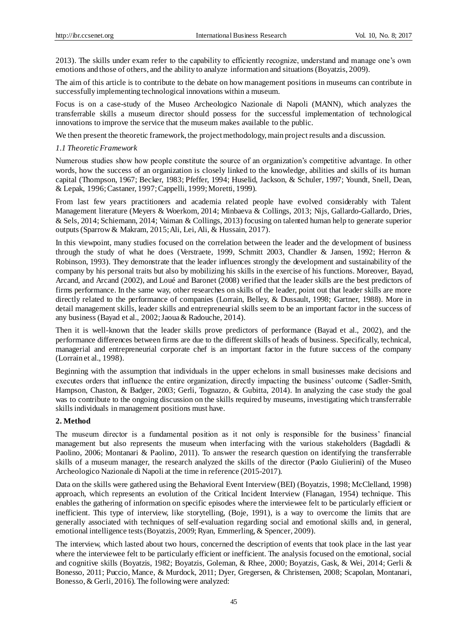2013). The skills under exam refer to the capability to efficiently recognize, understand and manage one's own emotions and those of others, and the ability to analyze information and situations (Boyatzis, 2009).

The aim of this article is to contribute to the debate on how management positions in museums can contribute in successfully implementing technological innovations within a museum.

Focus is on a case-study of the Museo Archeologico Nazionale di Napoli (MANN), which analyzes the transferrable skills a museum director should possess for the successful implementation of technological innovations to improve the service that the museum makes available to the public.

We then present the theoretic framework, the project methodology, main project results and a discussion.

#### *1.1 Theoretic Framework*

Numerous studies show how people constitute the source of an organization's competitive advantage. In other words, how the success of an organization is closely linked to the knowledge, abilities and skills of its human capital (Thompson, 1967; Becker, 1983; Pfeffer, 1994; Huselid, Jackson, & Schuler, 1997; Youndt, Snell, Dean, & Lepak, 1996; Castaner, 1997; Cappelli, 1999; Moretti, 1999).

From last few years practitioners and academia related people have evolved considerably with Talent Management literature (Meyers & Woerkom, 2014; Minbaeva & Collings, 2013; Nijs, Gallardo-Gallardo, Dries, & Sels, 2014; Schiemann, 2014; Vaiman & Collings, 2013) focusing on talented human help to generate superior outputs (Sparrow & Makram, 2015; Ali, Lei, Ali, & Hussain, 2017).

In this viewpoint, many studies focused on the correlation between the leader and the development of business through the study of what he does (Verstraete, 1999, Schmitt 2003, Chandler & Jansen, 1992; Herron & Robinson, 1993). They demonstrate that the leader influences strongly the development and sustainability of the company by his personal traits but also by mobilizing his skills in the exercise of his functions. Moreover, Bayad, Arcand, and Arcand (2002), and Loué and Baronet (2008) verified that the leader skills are the best predictors of firms performance. In the same way, other researches on skills of the leader, point out that leader skills are more directly related to the performance of companies (Lorrain, Belley, & Dussault, 1998; Gartner, 1988). More in detail management skills, leader skills and entrepreneurial skills seem to be an important factor in the success of any business (Bayad et al., 2002; Jaoua & Radouche, 2014).

Then it is well-known that the leader skills prove predictors of performance (Bayad et al., 2002), and the performance differences between firms are due to the different skills of heads of business. Specifically, technical, managerial and entrepreneurial corporate chef is an important factor in the future success of the company (Lorrain et al., 1998).

Beginning with the assumption that individuals in the upper echelons in small businesses make decisions and executes orders that influence the entire organization, directly impacting the business' outcome (Sadler-Smith, Hampson, Chaston, & Badger, 2003; Gerli, Tognazzo, & Gubitta, 2014). In analyzing the case study the goal was to contribute to the ongoing discussion on the skills required by museums, investigating which transferrable skills individuals in management positions must have.

## **2. Method**

The museum director is a fundamental position as it not only is responsible for the business' financial management but also represents the museum when interfacing with the various stakeholders (Bagdadli  $\&$ Paolino, 2006; Montanari & Paolino, 2011). To answer the research question on identifying the transferrable skills of a museum manager, the research analyzed the skills of the director (Paolo Giulierini) of the Museo Archeologico Nazionale di Napoli at the time in reference (2015-2017).

Data on the skills were gathered using the Behavioral Event Interview (BEI) (Boyatzis, 1998; McClelland, 1998) approach, which represents an evolution of the Critical Incident Interview (Flanagan, 1954) technique. This enables the gathering of information on specific episodes where the interviewee felt to be particularly efficient or inefficient. This type of interview, like storytelling, (Boje, 1991), is a way to overcome the limits that are generally associated with techniques of self-evaluation regarding social and emotional skills and, in general, emotional intelligence tests (Boyatzis, 2009; Ryan, Emmerling, & Spencer, 2009).

The interview, which lasted about two hours, concerned the description of events that took place in the last year where the interviewee felt to be particularly efficient or inefficient. The analysis focused on the emotional, social and cognitive skills (Boyatzis, 1982; Boyatzis, Goleman, & Rhee, 2000; Boyatzis, Gask, & Wei, 2014; Gerli & Bonesso, 2011; Puccio, Mance, & Murdock, 2011; Dyer, Gregersen, & Christensen, 2008; Scapolan, Montanari, Bonesso, & Gerli, 2016). The following were analyzed: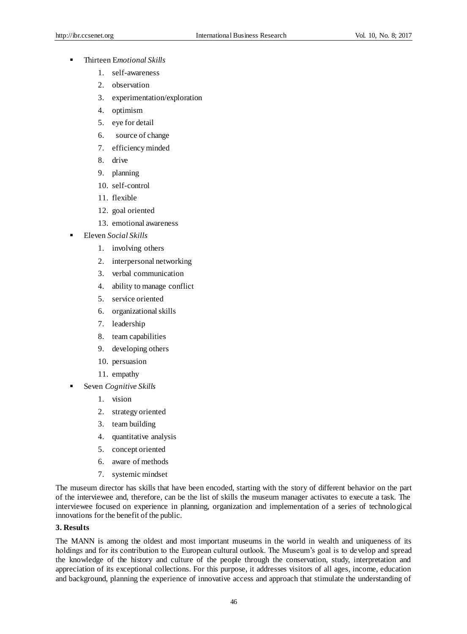- Thirteen E*motional Skills*
	- 1. self-awareness
	- 2. observation
	- 3. experimentation/exploration
	- 4. optimism
	- 5. eye for detail
	- 6. source of change
	- 7. efficiency minded
	- 8. drive
	- 9. planning
	- 10. self-control
	- 11. flexible
	- 12. goal oriented
	- 13. emotional awareness
- Eleven *Social Skills*
	- 1. involving others
	- 2. interpersonal networking
	- 3. verbal communication
	- 4. ability to manage conflict
	- 5. service oriented
	- 6. organizational skills
	- 7. leadership
	- 8. team capabilities
	- 9. developing others
	- 10. persuasion
	- 11. empathy
- Seven *Cognitive Skills*
	- 1. vision
	- 2. strategy oriented
	- 3. team building
	- 4. quantitative analysis
	- 5. concept oriented
	- 6. aware of methods
	- 7. systemic mindset

The museum director has skills that have been encoded, starting with the story of different behavior on the part of the interviewee and, therefore, can be the list of skills the museum manager activates to execute a task. The interviewee focused on experience in planning, organization and implementation of a series of technological innovations for the benefit of the public.

## **3. Results**

The MANN is among the oldest and most important museums in the world in wealth and uniqueness of its holdings and for its contribution to the European cultural outlook. The Museum's goal is to develop and spread the knowledge of the history and culture of the people through the conservation, study, interpretation and appreciation of its exceptional collections. For this purpose, it addresses visitors of all ages, income, education and background, planning the experience of innovative access and approach that stimulate the understanding of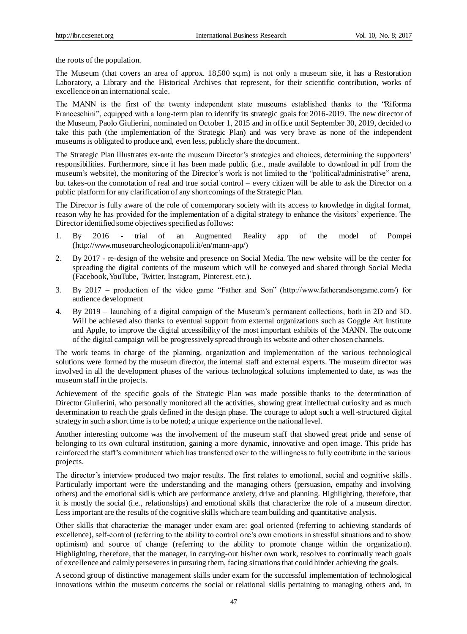the roots of the population.

The Museum (that covers an area of approx. 18,500 sq.m) is not only a museum site, it has a Restoration Laboratory, a Library and the Historical Archives that represent, for their scientific contribution, works of excellence on an international scale.

The MANN is the first of the twenty independent state museums established thanks to the "Riforma Franceschini", equipped with a long-term plan to identify its strategic goals for 2016-2019. The new director of the Museum, Paolo Giulierini, nominated on October 1, 2015 and in office until September 30, 2019, decided to take this path (the implementation of the Strategic Plan) and was very brave as none of the independent museums is obligated to produce and, even less, publicly share the document.

The Strategic Plan illustrates ex-ante the museum Director's strategies and choices, determining the supporters' responsibilities. Furthermore, since it has been made public (i.e., made available to download in pdf from the museum's website), the monitoring of the Director's work is not limited to the "political/administrative" arena, but takes-on the connotation of real and true social control – every citizen will be able to ask the Director on a public platform for any clarification of any shortcomings of the Strategic Plan.

The Director is fully aware of the role of contemporary society with its access to knowledge in digital format, reason why he has provided for the implementation of a digital strategy to enhance the visitors' experience. The Director identified some objectives specified as follows:

- 1. By 2016 trial of an Augmented Reality app of the model of Pompei (http://www.museoarcheologiconapoli.it/en/mann-app/)
- 2. By 2017 re-design of the website and presence on Social Media. The new website will be the center for spreading the digital contents of the museum which will be conveyed and shared through Social Media (Facebook, YouTube, Twitter, Instagram, Pinterest, etc.).
- 3. By 2017 production of the video game "Father and Son" (http://www.fatherandsongame.com/) for audience development
- 4. By 2019 launching of a digital campaign of the Museum's permanent collections, both in 2D and 3D. Will be achieved also thanks to eventual support from external organizations such as Goggle Art Institute and Apple, to improve the digital accessibility of the most important exhibits of the MANN. The outcome of the digital campaign will be progressively spread through its website and other chosen channels.

The work teams in charge of the planning, organization and implementation of the various technological solutions were formed by the museum director, the internal staff and external experts. The museum director was involved in all the development phases of the various technological solutions implemented to date, as was the museum staff in the projects.

Achievement of the specific goals of the Strategic Plan was made possible thanks to the determination of Director Giulierini, who personally monitored all the activities, showing great intellectual curiosity and as much determination to reach the goals defined in the design phase. The courage to adopt such a well-structured digital strategy in such a short time is to be noted; a unique experience on the national level.

Another interesting outcome was the involvement of the museum staff that showed great pride and sense of belonging to its own cultural institution, gaining a more dynamic, innovative and open image. This pride has reinforced the staff's commitment which has transferred over to the willingness to fully contribute in the various projects.

The director's interview produced two major results. The first relates to emotional, social and cognitive skills. Particularly important were the understanding and the managing others (persuasion, empathy and involving others) and the emotional skills which are performance anxiety, drive and planning. Highlighting, therefore, that it is mostly the social (i.e., relationships) and emotional skills that characterize the role of a museum director. Less important are the results of the cognitive skills which are team building and quantitative analysis.

Other skills that characterize the manager under exam are: goal oriented (referring to achieving standards of excellence), self-control (referring to the ability to control one's own emotions in stressful situations and to show optimism) and source of change (referring to the ability to promote change within the organizatio n). Highlighting, therefore, that the manager, in carrying-out his/her own work, resolves to continually reach goals of excellence and calmly perseveres in pursuing them, facing situations that could hinder achieving the goals.

A second group of distinctive management skills under exam for the successful implementation of technological innovations within the museum concerns the social or relational skills pertaining to managing others and, in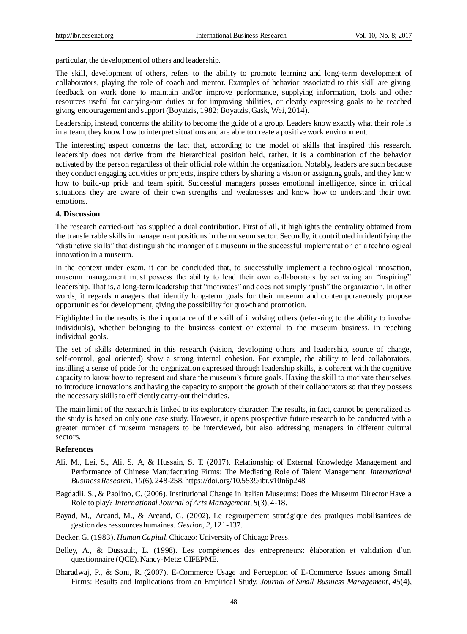particular, the development of others and leadership.

The skill, development of others, refers to the ability to promote learning and long-term development of collaborators, playing the role of coach and mentor. Examples of behavior associated to this skill are giving feedback on work done to maintain and/or improve performance, supplying information, tools and other resources useful for carrying-out duties or for improving abilities, or clearly expressing goals to be reached giving encouragement and support (Boyatzis, 1982; Boyatzis, Gask, Wei, 2014).

Leadership, instead, concerns the ability to become the guide of a group. Leaders know exactly what their role is in a team, they know how to interpret situations and are able to create a positive work environment.

The interesting aspect concerns the fact that, according to the model of skills that inspired this research, leadership does not derive from the hierarchical position held, rather, it is a combination of the behavior activated by the person regardless of their official role within the organization. Notably, leaders are such because they conduct engaging activities or projects, inspire others by sharing a vision or assigning goals, and they know how to build-up pride and team spirit. Successful managers posses emotional intelligence, since in critical situations they are aware of their own strengths and weaknesses and know how to understand their own emotions.

#### **4. Discussion**

The research carried-out has supplied a dual contribution. First of all, it highlights the centrality obtained from the transferrable skills in management positions in the museum sector. Secondly, it contributed in identifying the "distinctive skills" that distinguish the manager of a museum in the successful implementation of a technological innovation in a museum.

In the context under exam, it can be concluded that, to successfully implement a technological innovation, museum management must possess the ability to lead their own collaborators by activating an "inspiring" leadership. That is, a long-term leadership that "motivates" and does not simply "push" the organization. In other words, it regards managers that identify long-term goals for their museum and contemporaneously propose opportunities for development, giving the possibility for growth and promotion.

Highlighted in the results is the importance of the skill of involving others (refer-ring to the ability to involve individuals), whether belonging to the business context or external to the museum business, in reaching individual goals.

The set of skills determined in this research (vision, developing others and leadership, source of change, self-control, goal oriented) show a strong internal cohesion. For example, the ability to lead collaborators, instilling a sense of pride for the organization expressed through leadership skills, is coherent with the cognitive capacity to know how to represent and share the museum's future goals. Having the skill to motivate themselves to introduce innovations and having the capacity to support the growth of their collaborators so that they possess the necessary skills to efficiently carry-out their duties.

The main limit of the research is linked to its exploratory character. The results, in fact, cannot be generalized as the study is based on only one case study. However, it opens prospective future research to be conducted with a greater number of museum managers to be interviewed, but also addressing managers in different cultural sectors.

## **References**

- Ali, M., Lei, S., Ali, S. A, & Hussain, S. T. (2017). Relationship of External Knowledge Management and Performance of Chinese Manufacturing Firms: The Mediating Role of Talent Management. *International Business Research*, *10*(6), 248-258[. https://doi.org/10.5539/ibr.v10n6p248](https://doi.org/10.5539/ibr.v10n6p248)
- Bagdadli, S., & Paolino, C. (2006). Institutional Change in Italian Museums: Does the Museum Director Have a Role to play? *International Journal of Arts Management*, *8*(3), 4-18.
- Bayad, M., Arcand, M., & Arcand, G. (2002). Le regroupement stratégique des pratiques mobilisatrices de gestion des ressources humaines. *Gestion, 2,* 121-137.
- Becker, G. (1983). *Human Capital*. Chicago: University of Chicago Press.
- Belley, A., & Dussault, L. (1998). Les compétences des entrepreneurs: élaboration et validation d'un questionnaire (QCE). Nancy-Metz: CIFEPME.
- Bharadwaj, P., & Soni, R. (2007). E-Commerce Usage and Perception of E-Commerce Issues among Small Firms: Results and Implications from an Empirical Study. *Journal of Small Business Management*, *45*(4),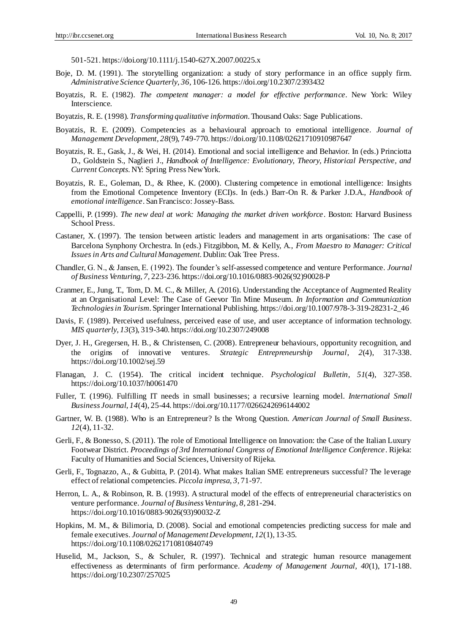501-521[. https://doi.org/10.1111/j.1540-627X.2007.00225.x](https://doi.org/10.1111/j.1540-627X.2007.00225.x)

- Boje, D. M. (1991). The storytelling organization: a study of story performance in an office supply firm. *Administrative Science Quarterly*, *36,* 106-126[. https://doi.org/10.2307/2393432](https://doi.org/10.2307/2393432)
- Boyatzis, R. E. (1982). *The competent manager: a model for effective performance*. New York: Wiley Interscience.
- Boyatzis, R. E. (1998). *Transforming qualitative information*. Thousand Oaks: Sage Publications.
- Boyatzis, R. E. (2009). Competencies as a behavioural approach to emotional intelligence. *Journal of Management Development*, *28*(9), 749-770[. https://doi.org/10.1108/02621710910987647](https://doi.org/10.1108/02621710910987647)
- Boyatzis, R. E., Gask, J., & Wei, H. (2014). Emotional and social intelligence and Behavior. In (eds.) Princiotta D., Goldstein S., Naglieri J., *Handbook of Intelligence: Evolutionary, Theory, Historical Perspective, and Current Concepts*. NY: Spring Press New York.
- Boyatzis, R. E., Goleman, D., & Rhee, K. (2000). Clustering competence in emotional intelligence: Insights from the Emotional Competence Inventory (ECI)s. In (eds.) Barr-On R. & Parker J.D.A., *Handbook of emotional intelligence*. San Francisco: Jossey-Bass.
- Cappelli, P. (1999). *The new deal at work: Managing the market driven workforce*. Boston: Harvard Business School Press.
- Castaner, X. (1997). The tension between artistic leaders and management in arts organisations: The case of Barcelona Synphony Orchestra. In (eds.) Fitzgibbon, M. & Kelly, A., *From Maestro to Manager: Critical Issues in Arts and Cultural Management*. Dublin: Oak Tree Press.
- Chandler, G. N., & Jansen, E. (1992). The founder's self-assessed competence and venture Performance. *Journal of Business Venturing*, *7,* 223-236[. https://doi.org/10.1016/0883-9026\(92\)90028-P](https://doi.org/10.1016/0883-9026%2892%2990028-P)
- Cranmer, E., Jung, T., Tom, D. M. C., & Miller, A. (2016). Understanding the Acceptance of Augmented Reality at an Organisational Level: The Case of Geevor Tin Mine Museum. *In Information and Communication Technologies in Tourism*. Springer International Publishing[. https://doi.org/10.1007/978-3-319-28231-2\\_46](https://doi.org/10.1007/978-3-319-28231-2_46)
- Davis, F. (1989). Perceived usefulness, perceived ease of use, and user acceptance of information technology. *MIS quarterly*, *13*(3), 319-340. https://doi.org/10.2307/249008
- Dyer, J. H., Gregersen, H. B., & Christensen, C. (2008). Entrepreneur behaviours, opportunity recognition, and the origins of innovative ventures. *Strategic Entrepreneurship Journal*, *2*(4), 317-338. https://doi.org/10.1002/sej.59
- Flanagan, J. C. (1954). The critical incident technique. *Psychological Bulletin*, *51*(4), 327-358. https://doi.org/10.1037/h0061470
- Fuller, T. (1996). Fulfilling IT needs in small businesses; a recursive learning model. *International Small Business Journal*, *14*(4), 25-44[. https://doi.org/10.1177/0266242696144002](https://doi.org/10.1177/0266242696144002)
- Gartner, W. B. (1988). Who is an Entrepreneur? Is the Wrong Question. *American Journal of Small Business*. *12*(4), 11-32.
- Gerli, F., & Bonesso, S. (2011). The role of Emotional Intelligence on Innovation: the Case of the Italian Luxury Footwear District. *Proceedings of 3rd International Congress of Emotional Intelligence Conference*. Rijeka: Faculty of Humanities and Social Sciences, University of Rijeka.
- Gerli, F., Tognazzo, A., & Gubitta, P. (2014). What makes Italian SME entrepreneurs successful? The leverage effect of relational competencies. *Piccola impresa*, *3,* 71-97.
- Herron, L. A., & Robinson, R. B. (1993). A structural model of the effects of entrepreneurial characteristics on venture performance. *Journal of Business Venturing*, *8,* 281-294. [https://doi.org/10.1016/0883-9026\(93\)90032-Z](https://doi.org/10.1016/0883-9026%2893%2990032-Z)
- Hopkins, M. M., & Bilimoria, D. (2008). Social and emotional competencies predicting success for male and female executives. *Journal of Management Development*, *12*(1), 13-35. <https://doi.org/10.1108/02621710810840749>
- Huselid, M., Jackson, S., & Schuler, R. (1997). Technical and strategic human resource management effectiveness as determinants of firm performance. *Academy of Management Journal*, *40*(1), 171-188. <https://doi.org/10.2307/257025>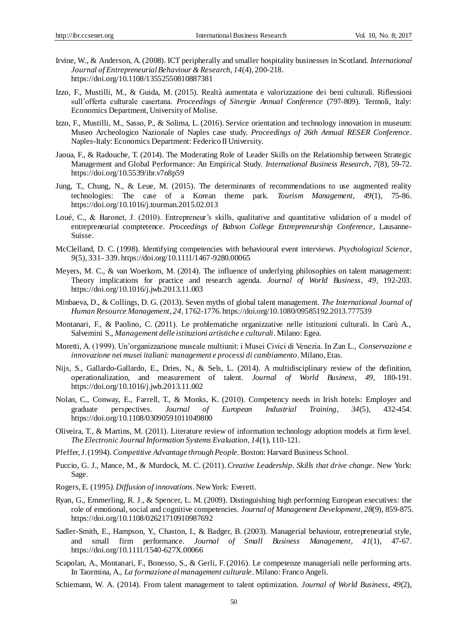- Irvine, W., & Anderson, A.(2008). ICT peripherally and smaller hospitality businesses in Scotland. *International Journal of Entrepreneurial Behaviour & Research*, *14*(4), 200-218. <https://doi.org/10.1108/13552550810887381>
- Izzo, F., Mustilli, M., & Guida, M. (2015). Realtà aumentata e valorizzazione dei beni culturali. Riflessioni sull'offerta culturale casertana. *Proceedings of Sinergie Annual Conference* (797-809). Termoli, Italy: Economics Department, University of Molise.
- Izzo, F., Mustilli, M., Sasso, P., & Solima, L. (2016). Service orientation and technology innovation in museum: Museo Archeologico Nazionale of Naples case study. *Proceedings of 26th Annual RESER Conference*. Naples-Italy: Economics Department: Federico II University.
- Jaoua, F., & Radouche, T. (2014). The Moderating Role of Leader Skills on the Relationship between Strategic Management and Global Performance: An Empirical Study. *International Business Research*, *7*(8), 59-72. <https://doi.org/10.5539/ibr.v7n8p59>
- Jung, T., Chung, N., & Leue, M. (2015). The determinants of recommendations to use augmented reality technologies: The case of a Korean theme park. *Tourism Management*, *49*(1), 75-86. <https://doi.org/10.1016/j.tourman.2015.02.013>
- Loué, C., & Baronet, J. (2010). Entrepreneur's skills, qualitative and quantitative validation of a model of entrepreneurial comptetence. *Proceedings of Babson College Entrepreneurship Conference*, Lausanne-Suisse.
- McClelland, D. C. (1998). Identifying competencies with behavioural event interviews. *Psychological Science, 9*(5), 331- 339[. https://doi.org/10.1111/1467-9280.00065](https://doi.org/10.1111/1467-9280.00065)
- Meyers, M. C., & van Woerkom, M. (2014). The influence of underlying philosophies on talent management: Theory implications for practice and research agenda. *Journal of World Business*, *49,* 192-203. <https://doi.org/10.1016/j.jwb.2013.11.003>
- Minbaeva, D., & Collings, D. G. (2013). Seven myths of global talent management. *The International Journal of Human Resource Management*, *24,* 1762-1776[. https://doi.org/10.1080/09585192.2013.777539](https://doi.org/10.1080/09585192.2013.777539)
- Montanari, F., & Paolino, C. (2011). Le problematiche organizzative nelle istituzioni culturali. In Carù A., Salvemini S., *Management delle istituzioni artistiche e culturali*. Milano: Egea.
- Moretti, A. (1999). Un'organizzazione museale multiunit: i Musei Civici di Venezia. In Zan L., *Conservazione e innovazione nei musei italiani: management e processi di cambiamento*. Milano, Etas.
- Nijs, S., Gallardo-Gallardo, E., Dries, N., & Sels, L. (2014). A multidisciplinary review of the definition, operationalization, and measurement of talent. *Journal of World Business*, *49,* 180-191. <https://doi.org/10.1016/j.jwb.2013.11.002>
- Nolan, C., Conway, E., Farrell, T., & Monks, K. (2010). Competency needs in Irish hotels: Employer and graduate perspectives. *Journal of European Industrial Training*, *34*(5), 432-454. <https://doi.org/10.1108/03090591011049800>
- Oliveira, T., & Martins, M. (2011). Literature review of information technology adoption models at firm level. *The Electronic Journal Information Systems Evaluation*, *14*(1), 110-121.
- Pfeffer, J.(1994). *Competitive Advantage through People.* Boston: Harvard Business School.
- Puccio, G. J., Mance, M., & Murdock, M. C. (2011). *Creative Leadership. Skills that drive change*. New York: Sage.
- Rogers, E. (1995*). Diffusion of innovations*. New York: Everett.
- Ryan, G., Emmerling, R. J., & Spencer, L. M. (2009). Distinguishing high performing European executives: the role of emotional, social and cognitive competencies. *Journal of Management Development*, *28*(9), 859-875. <https://doi.org/10.1108/02621710910987692>
- Sadler-Smith, E., Hampson, Y., Chaston, I., & Badger, B. (2003). Managerial behaviour, entrepreneurial style, and small firm performance. *Journal of Small Business Management*, *41*(1), 47-67. https://doi.org/10.1111/1540-627X.00066
- Scapolan, A., Montanari, F., Bonesso, S., & Gerli, F.(2016). Le competenze manageriali nelle performing arts. In Taormina, A., *La formazione al management culturale*. Milano: Franco Angeli.
- Schiemann, W. A. (2014). From talent management to talent optimization. *Journal of World Business*, *49*(2),